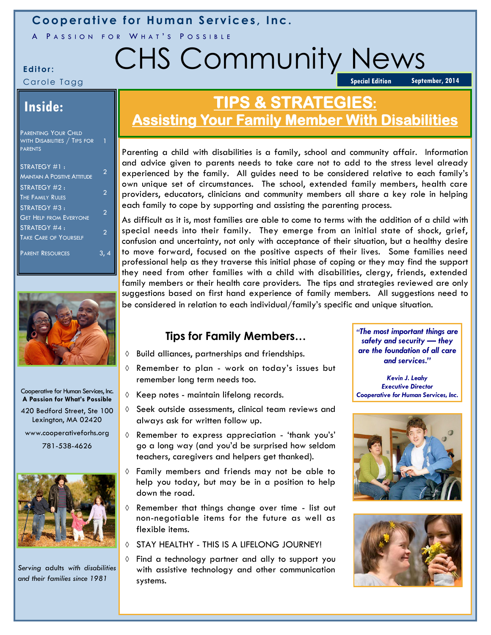## **Cooperative for Human Services, Inc.**

A PASSION FOR WHAT'S POSSIBLE

# **Editor:** CHS Community News **Special Edition**

Carole Tagg

**September, 2014**

# **Inside:**

| <b>PARENTING YOUR CHILD</b>  |  |
|------------------------------|--|
| WITH DISABILITIES / TIPS FOR |  |
| <b>PARENTS</b>               |  |

| STRATEGY #1:<br><b>MAINTAIN A POSITIVE ATTITUDE</b> | 2 |
|-----------------------------------------------------|---|
| STRATEGY #2:                                        | 2 |
| <b>THE FAMILY RULES</b><br>STRATEGY #3:             | 2 |
| <b>GET HELP FROM EVERYONE</b><br>STRATEGY #4:       |   |
| <b>TAKE CARE OF YOURSELF</b>                        | 2 |
| <b>PARENT RESOURCES</b>                             |   |



#### Cooperative for Human Services, Inc. **A Passion for What's Possible**

420 Bedford Street, Ste 100 Lexington, MA 02420 www.cooperativeforhs.org

781-538-4626



*Serving* adults *with disabilities and their families since 1981* 

# **TIPS & STRATEGIES: Assisting Your Family Member With Disabilities**

Parenting a child with disabilities is a family, school and community affair. Information and advice given to parents needs to take care not to add to the stress level already experienced by the family. All guides need to be considered relative to each family's own unique set of circumstances. The school, extended family members, health care providers, educators, clinicians and community members all share a key role in helping each family to cope by supporting and assisting the parenting process.

As difficult as it is, most families are able to come to terms with the addition of a child with special needs into their family. They emerge from an initial state of shock, grief, confusion and uncertainty, not only with acceptance of their situation, but a healthy desire to move forward, focused on the positive aspects of their lives. Some families need professional help as they traverse this initial phase of coping or they may find the support they need from other families with a child with disabilities, clergy, friends, extended family members or their health care providers. The tips and strategies reviewed are only suggestions based on first hand experience of family members. All suggestions need to be considered in relation to each individual/family's specific and unique situation.

## **Tips for Family Members…**

- $\Diamond$  Build alliances, partnerships and friendships.
- $\Diamond$  Remember to plan work on today's issues but remember long term needs too.
- $\Diamond$  Keep notes maintain lifelong records.
- $\Diamond$  Seek outside assessments, clinical team reviews and always ask for written follow up.
- $\Diamond$  Remember to express appreciation 'thank you's' go a long way (and you'd be surprised how seldom teachers, caregivers and helpers get thanked).
- Family members and friends may not be able to help you today, but may be in a position to help down the road.
- Remember that things change over time list out non-negotiable items for the future as well as flexible items.
- STAY HEALTHY THIS IS A LIFFLONG JOURNEY!
- Find a technology partner and ally to support you with assistive technology and other communication systems.

*"The most important things are safety and security — they are the foundation of all care and services."*

*Kevin J. Leahy Executive Director Cooperative for Human Services, Inc.*



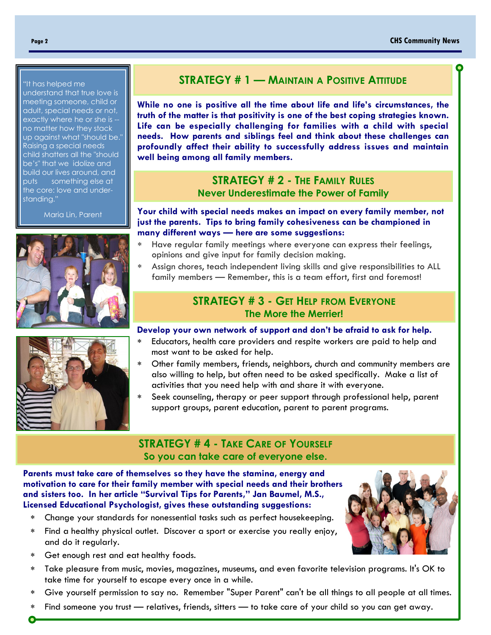#### "It has helped me

understand that true love is meeting someone, child or adult, special needs or not, exactly where he or she is - no matter how they stack up against what "should be." Raising a special needs child shatters all the "should be's" that we idolize and build our lives around, and puts something else at the core: love and understanding."

Maria Lin, Parent





### **STRATEGY # 1 — MAINTAIN A POSITIVE ATTITUDE**

**While no one is positive all the time about life and life's circumstances, the truth of the matter is that positivity is one of the best coping strategies known. Life can be especially challenging for families with a child with special needs. How parents and siblings feel and think about these challenges can profoundly affect their ability to successfully address issues and maintain well being among all family members.** 

### **STRATEGY # 2 - THE FAMILY RULES Never Underestimate the Power of Family**

**Your child with special needs makes an impact on every family member, not just the parents. Tips to bring family cohesiveness can be championed in many different ways — here are some suggestions:**

- Have regular family meetings where everyone can express their feelings, opinions and give input for family decision making.
- Assign chores, teach independent living skills and give responsibilities to ALL family members — Remember, this is a team effort, first and foremost!

### **STRATEGY # 3 - GET HELP FROM EVERYONE The More the Merrier!**

#### **Develop your own network of support and don't be afraid to ask for help.**

- Educators, health care providers and respite workers are paid to help and most want to be asked for help.
- Other family members, friends, neighbors, church and community members are also willing to help, but often need to be asked specifically. Make a list of activities that you need help with and share it with everyone.
- Seek counseling, therapy or peer support through professional help, parent support groups, parent education, parent to parent programs.

### **STRATEGY # 4 - TAKE CARE OF YOURSELF So you can take care of everyone else.**

**Parents must take care of themselves so they have the stamina, energy and motivation to care for their family member with special needs and their brothers and sisters too. In her article "Survival Tips for Parents," Jan Baumel, M.S., Licensed Educational Psychologist, gives these outstanding suggestions:** 

- Change your standards for nonessential tasks such as perfect housekeeping.
- Find a healthy physical outlet. Discover a sport or exercise you really enjoy, and do it regularly.
- Get enough rest and eat healthy foods.
- Take pleasure from music, movies, magazines, museums, and even favorite television programs. It's OK to take time for yourself to escape every once in a while.
- Give yourself permission to say no. Remember "Super Parent" can't be all things to all people at all times.
- Find someone you trust relatives, friends, sitters to take care of your child so you can get away.

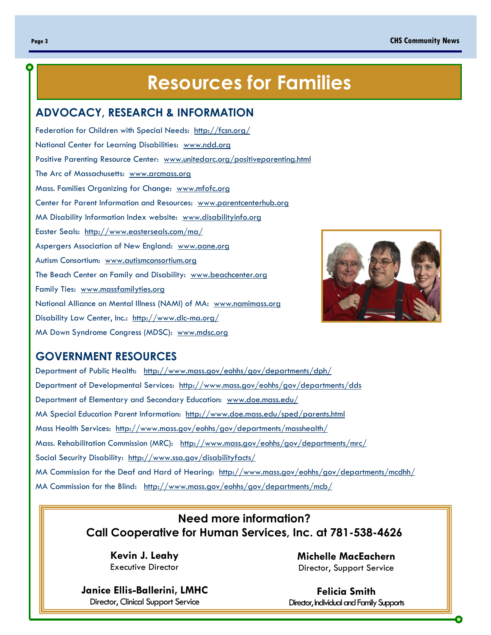# **Resources for Families**

#### **ADVOCACY, RESEARCH & INFORMATION**

Federation for Children with Special Needs: http://fcsn.org/ National Center for Learning Disabilities: www.ndd.org Positive Parenting Resource Center: www.unitedarc.org/positiveparenting.html The Arc of Massachusetts: www.arcmass.org Mass. Families Organizing for Change: www.mfofc.org Center for Parent Information and Resources: www.parentcenterhub.org MA Disability Information Index website: www.disabilityinfo.org Easter Seals: http://www.easterseals.com/ma/ Aspergers Association of New England: www.aane.org Autism Consortium: www.autismconsortium.org The Beach Center on Family and Disability: www.beachcenter.org Family Ties: www.massfamilyties.org National Alliance on Mental Illness (NAMI) of MA: www.namimass.org Disability Law Center, Inc.: http://www.dlc-ma.org/ MA Down Syndrome Congress (MDSC): www.mdsc.org



### **GOVERNMENT RESOURCES**

Department of Public Health: http://www.mass.gov/eohhs/gov/departments/dph/ Department of Developmental Services: http://www.mass.gov/eohhs/gov/departments/dds Department of Elementary and Secondary Education: www.doe.mass.edu/ MA Special Education Parent Information: http://www.doe.mass.edu/sped/parents.html Mass Health Services: http://www.mass.gov/eohhs/gov/departments/masshealth/ Mass. Rehabilitation Commission (MRC): http://www.mass.gov/eohhs/gov/departments/mrc/ Social Security Disability: http://www.ssa.gov/disabilityfacts/ MA Commission for the Deaf and Hard of Hearing: http://www.mass.gov/eohhs/gov/departments/mcdhh/ MA Commission for the Blind: http://www.mass.gov/eohhs/gov/departments/mcb/

## **Need more information? Call Cooperative for Human Services, Inc. at 781-538-4626**

**Kevin J. Leahy**  Executive Director

**Janice Ellis-Ballerini, LMHC**  Director, Clinical Support Service

**Michelle MacEachern** Director, Support Service

**Felicia Smith** Director, Individual and Family Supports